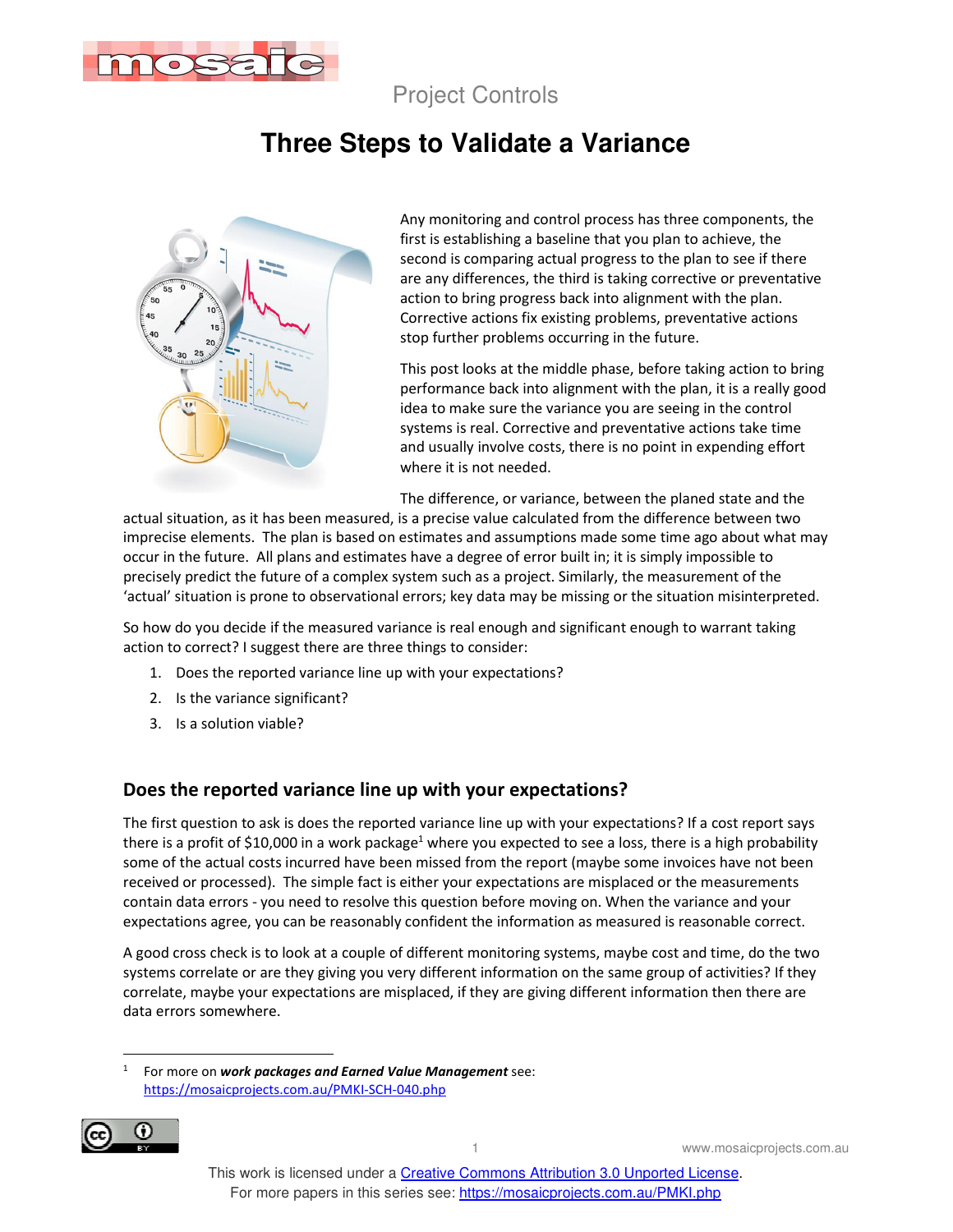

Project Controls

# **Three Steps to Validate a Variance**



Any monitoring and control process has three components, the first is establishing a baseline that you plan to achieve, the second is comparing actual progress to the plan to see if there are any differences, the third is taking corrective or preventative action to bring progress back into alignment with the plan. Corrective actions fix existing problems, preventative actions stop further problems occurring in the future.

This post looks at the middle phase, before taking action to bring performance back into alignment with the plan, it is a really good idea to make sure the variance you are seeing in the control systems is real. Corrective and preventative actions take time and usually involve costs, there is no point in expending effort where it is not needed.

The difference, or variance, between the planed state and the

actual situation, as it has been measured, is a precise value calculated from the difference between two imprecise elements. The plan is based on estimates and assumptions made some time ago about what may occur in the future. All plans and estimates have a degree of error built in; it is simply impossible to precisely predict the future of a complex system such as a project. Similarly, the measurement of the 'actual' situation is prone to observational errors; key data may be missing or the situation misinterpreted.

So how do you decide if the measured variance is real enough and significant enough to warrant taking action to correct? I suggest there are three things to consider:

- 1. Does the reported variance line up with your expectations?
- 2. Is the variance significant?
- 3. Is a solution viable?

#### **Does the reported variance line up with your expectations?**

The first question to ask is does the reported variance line up with your expectations? If a cost report says there is a profit of \$10,000 in a work package<sup>1</sup> where you expected to see a loss, there is a high probability some of the actual costs incurred have been missed from the report (maybe some invoices have not been received or processed). The simple fact is either your expectations are misplaced or the measurements contain data errors - you need to resolve this question before moving on. When the variance and your expectations agree, you can be reasonably confident the information as measured is reasonable correct.

A good cross check is to look at a couple of different monitoring systems, maybe cost and time, do the two systems correlate or are they giving you very different information on the same group of activities? If they correlate, maybe your expectations are misplaced, if they are giving different information then there are data errors somewhere.

<sup>1</sup> For more on *work packages and Earned Value Management* see: https://mosaicprojects.com.au/PMKI-SCH-040.php



1 www.mosaicprojects.com.au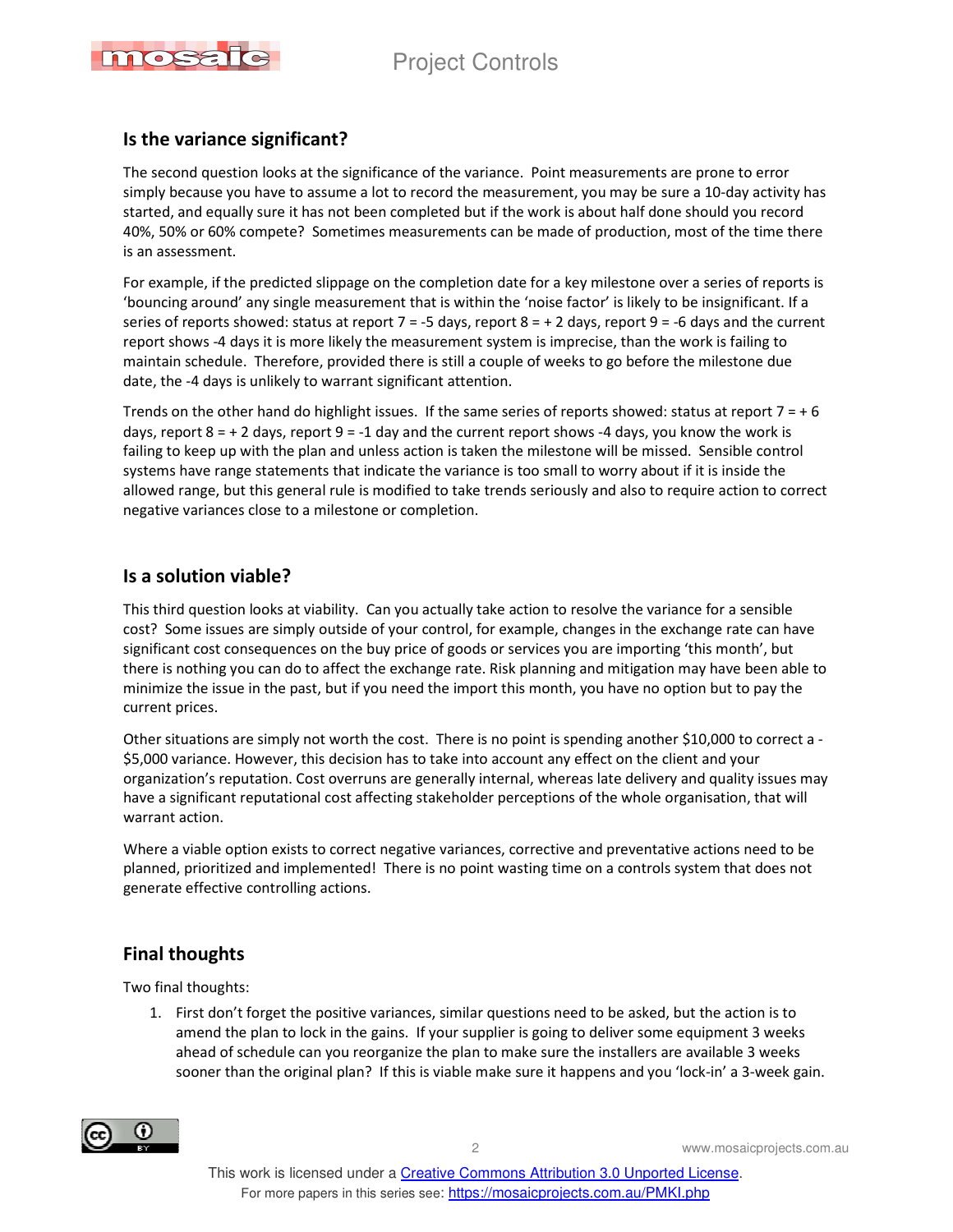## Project Controls



#### **Is the variance significant?**

The second question looks at the significance of the variance. Point measurements are prone to error simply because you have to assume a lot to record the measurement, you may be sure a 10-day activity has started, and equally sure it has not been completed but if the work is about half done should you record 40%, 50% or 60% compete? Sometimes measurements can be made of production, most of the time there is an assessment.

For example, if the predicted slippage on the completion date for a key milestone over a series of reports is 'bouncing around' any single measurement that is within the 'noise factor' is likely to be insignificant. If a series of reports showed: status at report 7 = -5 days, report 8 =  $+$  2 days, report 9 = -6 days and the current report shows -4 days it is more likely the measurement system is imprecise, than the work is failing to maintain schedule. Therefore, provided there is still a couple of weeks to go before the milestone due date, the -4 days is unlikely to warrant significant attention.

Trends on the other hand do highlight issues. If the same series of reports showed: status at report  $7 = +6$ days, report  $8 = +2$  days, report  $9 = -1$  day and the current report shows -4 days, you know the work is failing to keep up with the plan and unless action is taken the milestone will be missed. Sensible control systems have range statements that indicate the variance is too small to worry about if it is inside the allowed range, but this general rule is modified to take trends seriously and also to require action to correct negative variances close to a milestone or completion.

#### **Is a solution viable?**

This third question looks at viability. Can you actually take action to resolve the variance for a sensible cost? Some issues are simply outside of your control, for example, changes in the exchange rate can have significant cost consequences on the buy price of goods or services you are importing 'this month', but there is nothing you can do to affect the exchange rate. Risk planning and mitigation may have been able to minimize the issue in the past, but if you need the import this month, you have no option but to pay the current prices.

Other situations are simply not worth the cost. There is no point is spending another \$10,000 to correct a - \$5,000 variance. However, this decision has to take into account any effect on the client and your organization's reputation. Cost overruns are generally internal, whereas late delivery and quality issues may have a significant reputational cost affecting stakeholder perceptions of the whole organisation, that will warrant action.

Where a viable option exists to correct negative variances, corrective and preventative actions need to be planned, prioritized and implemented! There is no point wasting time on a controls system that does not generate effective controlling actions.

### **Final thoughts**

Two final thoughts:

1. First don't forget the positive variances, similar questions need to be asked, but the action is to amend the plan to lock in the gains. If your supplier is going to deliver some equipment 3 weeks ahead of schedule can you reorganize the plan to make sure the installers are available 3 weeks sooner than the original plan? If this is viable make sure it happens and you 'lock-in' a 3-week gain.



2 www.mosaicprojects.com.au